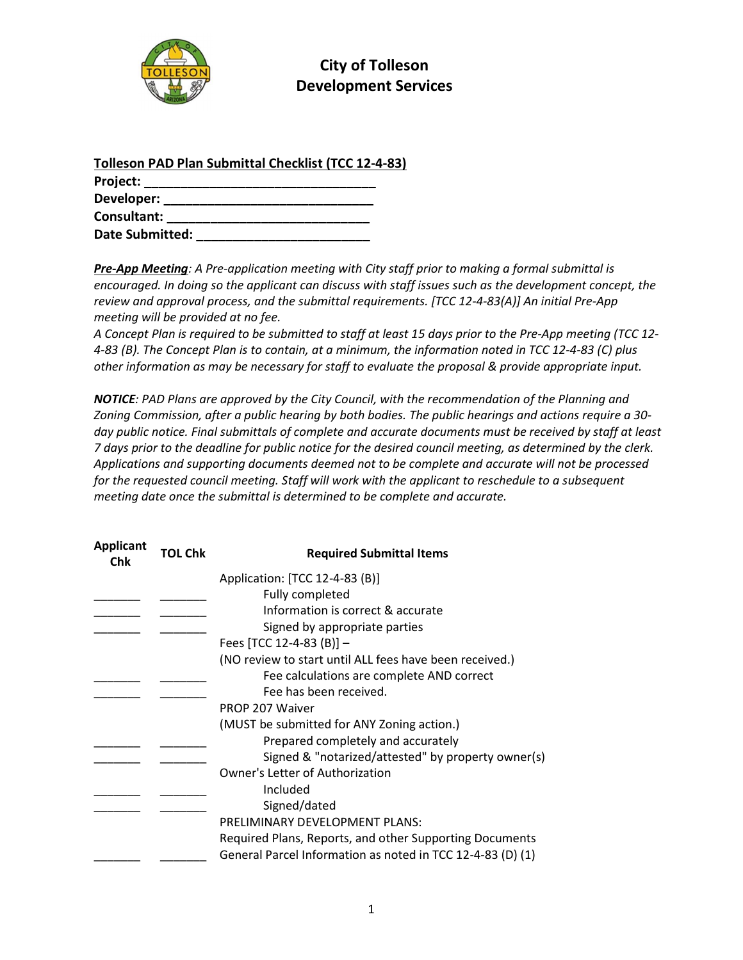

## City of Tolleson Development Services

| <b>Tolleson PAD Plan Submittal Checklist (TCC 12-4-83)</b> |  |
|------------------------------------------------------------|--|
| Project:                                                   |  |
| Developer:                                                 |  |
| Consultant:                                                |  |
| <b>Date Submitted:</b>                                     |  |

Pre-App Meeting: A Pre-application meeting with City staff prior to making a formal submittal is encouraged. In doing so the applicant can discuss with staff issues such as the development concept, the review and approval process, and the submittal requirements. [TCC 12-4-83(A)] An initial Pre-App meeting will be provided at no fee.

A Concept Plan is required to be submitted to staff at least 15 days prior to the Pre-App meeting (TCC 12- 4-83 (B). The Concept Plan is to contain, at a minimum, the information noted in TCC 12-4-83 (C) plus other information as may be necessary for staff to evaluate the proposal & provide appropriate input.

NOTICE: PAD Plans are approved by the City Council, with the recommendation of the Planning and Zoning Commission, after a public hearing by both bodies. The public hearings and actions require a 30 day public notice. Final submittals of complete and accurate documents must be received by staff at least 7 days prior to the deadline for public notice for the desired council meeting, as determined by the clerk. Applications and supporting documents deemed not to be complete and accurate will not be processed for the requested council meeting. Staff will work with the applicant to reschedule to a subsequent meeting date once the submittal is determined to be complete and accurate.

| <b>Applicant</b><br>Chk | <b>TOL Chk</b> | <b>Required Submittal Items</b>                            |
|-------------------------|----------------|------------------------------------------------------------|
|                         |                | Application: [TCC 12-4-83 (B)]                             |
|                         |                | Fully completed                                            |
|                         |                | Information is correct & accurate                          |
|                         |                | Signed by appropriate parties                              |
|                         |                | Fees [TCC 12-4-83 (B)] $-$                                 |
|                         |                | (NO review to start until ALL fees have been received.)    |
|                         |                | Fee calculations are complete AND correct                  |
|                         |                | Fee has been received.                                     |
|                         |                | PROP 207 Waiver                                            |
|                         |                | (MUST be submitted for ANY Zoning action.)                 |
|                         |                | Prepared completely and accurately                         |
|                         |                | Signed & "notarized/attested" by property owner(s)         |
|                         |                | Owner's Letter of Authorization                            |
|                         |                | Included                                                   |
|                         |                | Signed/dated                                               |
|                         |                | PRELIMINARY DEVELOPMENT PLANS:                             |
|                         |                | Required Plans, Reports, and other Supporting Documents    |
|                         |                | General Parcel Information as noted in TCC 12-4-83 (D) (1) |
|                         |                |                                                            |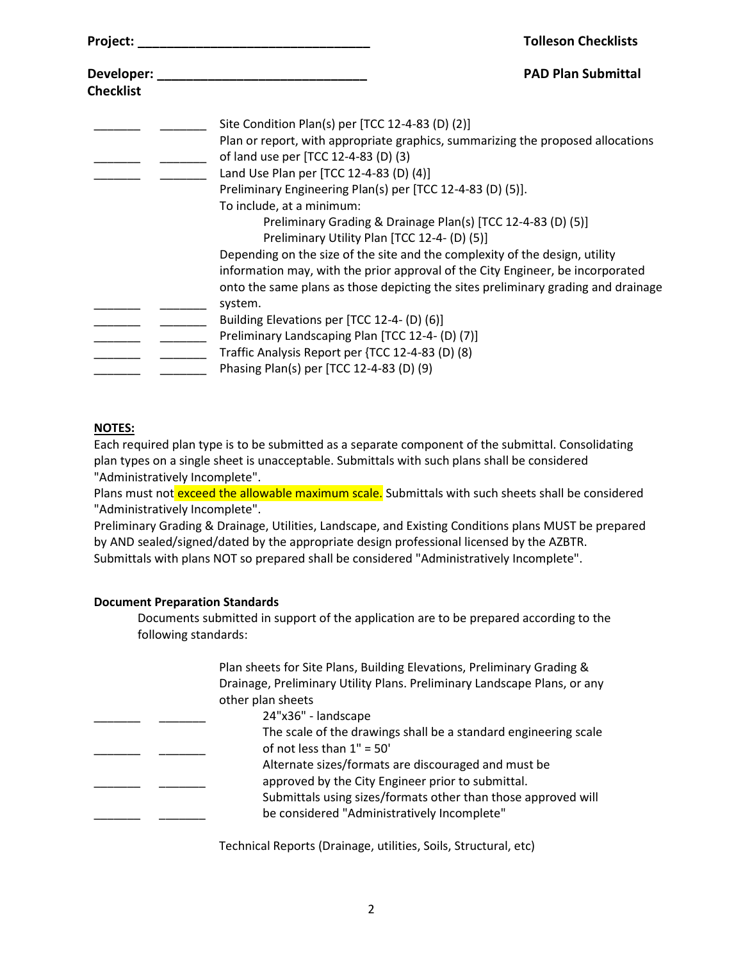| Project:         | <b>Tolleson Checklists</b>                                                                                                          |
|------------------|-------------------------------------------------------------------------------------------------------------------------------------|
| Developer:       | <b>PAD Plan Submittal</b>                                                                                                           |
| <b>Checklist</b> |                                                                                                                                     |
|                  | Site Condition Plan(s) per [TCC 12-4-83 (D) (2)]<br>Plan or report, with appropriate graphics, summarizing the proposed allocations |
|                  | of land use per [TCC 12-4-83 (D) (3)                                                                                                |
|                  | Land Use Plan per [TCC 12-4-83 (D) (4)]                                                                                             |
|                  | Preliminary Engineering Plan(s) per [TCC 12-4-83 (D) (5)].                                                                          |
|                  | To include, at a minimum:                                                                                                           |
|                  | Preliminary Grading & Drainage Plan(s) [TCC 12-4-83 (D) (5)]<br>Preliminary Utility Plan [TCC 12-4- (D) (5)]                        |
|                  | Depending on the size of the site and the complexity of the design, utility                                                         |
|                  | information may, with the prior approval of the City Engineer, be incorporated                                                      |
|                  | onto the same plans as those depicting the sites preliminary grading and drainage<br>system.                                        |
|                  | Building Elevations per [TCC 12-4- (D) (6)]                                                                                         |
|                  | Preliminary Landscaping Plan [TCC 12-4- (D) (7)]                                                                                    |
|                  | Traffic Analysis Report per {TCC 12-4-83 (D) (8)                                                                                    |
|                  | Phasing Plan(s) per [TCC 12-4-83 (D) (9)                                                                                            |

## NOTES:

Each required plan type is to be submitted as a separate component of the submittal. Consolidating plan types on a single sheet is unacceptable. Submittals with such plans shall be considered "Administratively Incomplete".

Plans must not exceed the allowable maximum scale. Submittals with such sheets shall be considered "Administratively Incomplete".

Preliminary Grading & Drainage, Utilities, Landscape, and Existing Conditions plans MUST be prepared by AND sealed/signed/dated by the appropriate design professional licensed by the AZBTR. Submittals with plans NOT so prepared shall be considered "Administratively Incomplete".

## Document Preparation Standards

Documents submitted in support of the application are to be prepared according to the following standards:

|  | Plan sheets for Site Plans, Building Elevations, Preliminary Grading &   |
|--|--------------------------------------------------------------------------|
|  | Drainage, Preliminary Utility Plans. Preliminary Landscape Plans, or any |
|  | other plan sheets                                                        |
|  | 24"x36" - landscape                                                      |
|  | The scale of the drawings shall be a standard engineering scale          |
|  | of not less than $1" = 50'$                                              |
|  | Alternate sizes/formats are discouraged and must be                      |
|  | approved by the City Engineer prior to submittal.                        |
|  | Submittals using sizes/formats other than those approved will            |
|  | be considered "Administratively Incomplete"                              |
|  |                                                                          |

Technical Reports (Drainage, utilities, Soils, Structural, etc)